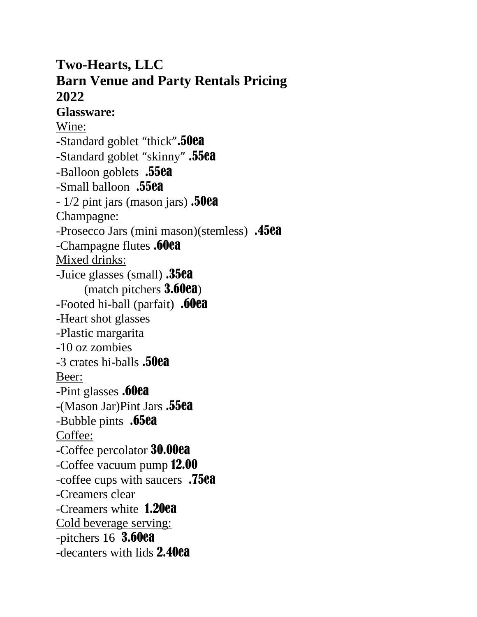**Two-Hearts, LLC Barn Venue and Party Rentals Pricing 2022 Glassware:** Wine: -Standard goblet "thick".50ea -Standard goblet "skinny" .55ea -Balloon goblets .55ea -Small balloon .55ea  $-1/2$  pint jars (mason jars) **.50ea** Champagne: -Prosecco Jars (mini mason)(stemless) .45ea -Champagne flutes .60ea Mixed drinks: -Juice glasses (small) .35ea (match pitchers 3.60ea) -Footed hi-ball (parfait) .60ea -Heart shot glasses -Plastic margarita -10 oz zombies -3 crates hi-balls .50ea Beer: -Pint glasses .60ea -(Mason Jar)Pint Jars .55ea -Bubble pints .65ea Coffee: -Coffee percolator 30.00ea -Coffee vacuum pump 12.00 -coffee cups with saucers **.75ea** -Creamers clear -Creamers white 1.20ea Cold beverage serving: -pitchers 16 3.60ea -decanters with lids **2.40ea**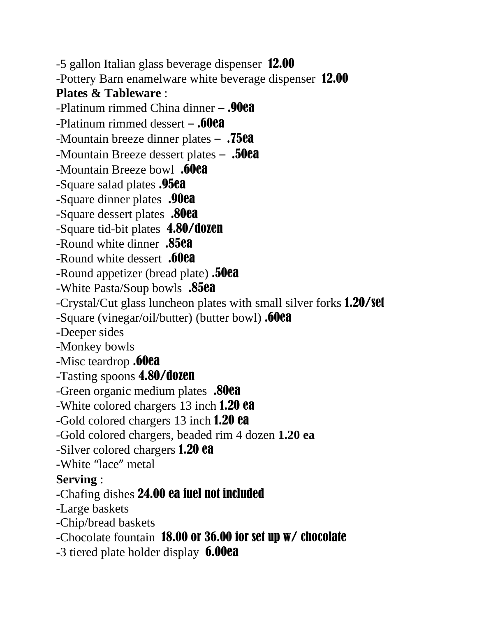-5 gallon Italian glass beverage dispenser 12.00 -Pottery Barn enamelware white beverage dispenser 12.00 **Plates & Tableware** : -Platinum rimmed China dinner  $-$  .90ea -Platinum rimmed dessert  $-$  .60ea -Mountain breeze dinner plates – .75ea -Mountain Breeze dessert plates – .50ea -Mountain Breeze bowl **.60ea** -Square salad plates .95ea -Square dinner plates .90ea -Square dessert plates .80ea -Square tid-bit plates **4.80/d07en** -Round white dinner .85ea -Round white dessert **.60ea** -Round appetizer (bread plate) .50ea -White Pasta/Soup bowls **.85ea** -Crystal/Cut glass luncheon plates with small silver forks 1.20/set -Square (vinegar/oil/butter) (butter bowl) .60ea -Deeper sides -Monkey bowls -Misc teardrop .60ea -Tasting spoons 4.80/dozen -Green organic medium plates .80ea -White colored chargers 13 inch **1.20 ea** -Gold colored chargers 13 inch 1.20 ea -Gold colored chargers, beaded rim 4 dozen **1.20 ea** -Silver colored chargers 1.20 ea -White "lace" metal **Serving** : -Chafing dishes 24.00 ea fuel not included -Large baskets -Chip/bread baskets -Chocolate fountain 18.00 or 36.00 for set up w/ chocolate -3 tiered plate holder display **6.00ea**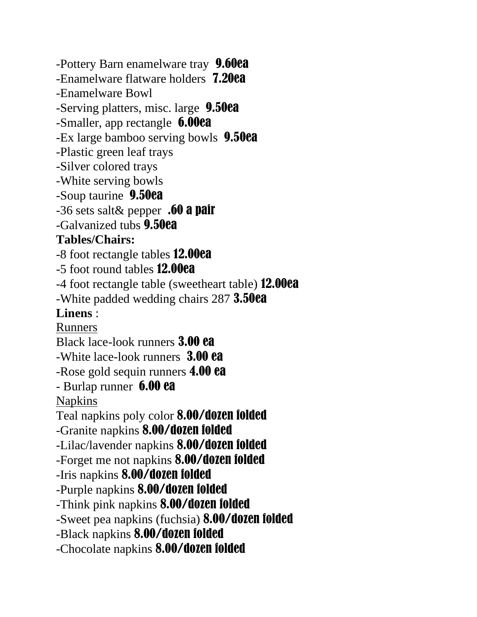-Pottery Barn enamelware tray **9.60ea** -Enamelware flatware holders **7.20ea** -Enamelware Bowl -Serving platters, misc. large **9.50ea** -Smaller, app rectangle **6.00ea** -Ex large bamboo serving bowls **9.50ea** -Plastic green leaf trays -Silver colored trays -White serving bowls -Soup taurine 9.50ea  $-36$  sets salt & pepper **.60 a pair** -Galvanized tubs 9.50ea **Tables/Chairs:** -8 foot rectangle tables 12.00ea -5 foot round tables 12.00ea -4 foot rectangle table (sweetheart table) 12.00ea -White padded wedding chairs 287 **3.50ea Linens** : Runners Black lace-look runners 3.00 ea -White lace-look runners 3.00 ea -Rose gold sequin runners 4.00 ea - Burlap runner **6.00 ea** Napkins Teal napkins poly color 8.00/dozen folded -Granite napkins 8.00/dozen folded -Lilac/lavender napkins 8.00/dozen folded -Forget me not napkins 8.00/dozen folded -Iris napkins 8.00/dozen folded -Purple napkins 8.00/dozen folded -Think pink napkins 8.00/dozen folded -Sweet pea napkins (fuchsia) 8.00/dozen folded -Black napkins 8.00/dozen folded -Chocolate napkins 8.00/dozen folded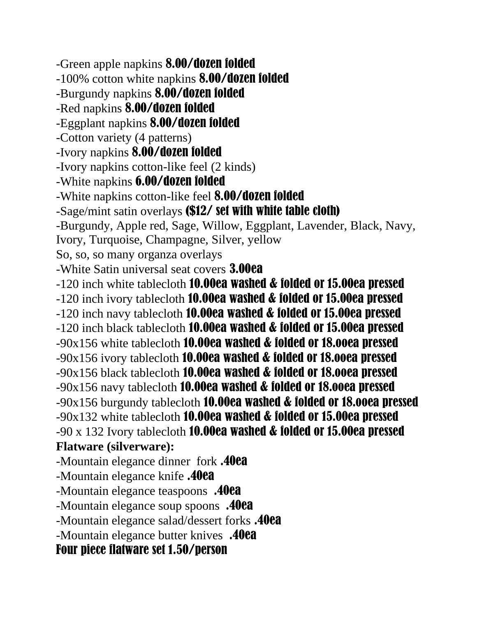-Green apple napkins 8.00/dozen folded -100% cotton white napkins 8.00/dozen folded -Burgundy napkins 8.00/dozen folded -Red napkins 8.00/dozen folded -Eggplant napkins 8.00/dozen folded -Cotton variety (4 patterns) -Ivory napkins 8.00/dozen folded -Ivory napkins cotton-like feel (2 kinds) -White napkins 6.00/dozen folded -White napkins cotton-like feel 8.00/dozen folded -Sage/mint satin overlays (\$12/ set with white table cloth) -Burgundy, Apple red, Sage, Willow, Eggplant, Lavender, Black, Navy, Ivory, Turquoise, Champagne, Silver, yellow So, so, so many organza overlays -White Satin universal seat covers 3.00ea -120 inch white tablecloth 10.00ea washed & folded or 15.00ea pressed -120 inch ivory tablecloth 10.00ea washed & folded or 15.00ea pressed -120 inch navy tablecloth 10.00ea washed & folded or 15.00ea pressed -120 inch black tablecloth 10.00ea washed & folded or 15.00ea pressed -90x156 white tablecloth 10.00ea washed & folded or 18.ooea pressed  $-90x156$  ivory tablecloth **10.00ea washed & folded or 18.00ea pressed**  $-90x156$  black tablecloth **10.00ea washed & folded or 18.00ea pressed**  $-90x156$  navy tablecloth **10.00ea washed & folded or 18.00ea pressed** -90x156 burgundy tablecloth 10.00ea washed & folded or 18.ooea pressed  $-90x132$  white tablecloth **10.00ea washed & folded or 15.00ea pressed**  $-90 \times 132$  Ivory tablecloth **10.00ea washed & folded or 15.00ea pressed Flatware (silverware):** -Mountain elegance dinner fork .40ea -Mountain elegance knife .40ea -Mountain elegance teaspoons .40ea -Mountain elegance soup spoons .40ea -Mountain elegance salad/dessert forks .40ea -Mountain elegance butter knives .40ea Four piece flatware set 1.50/person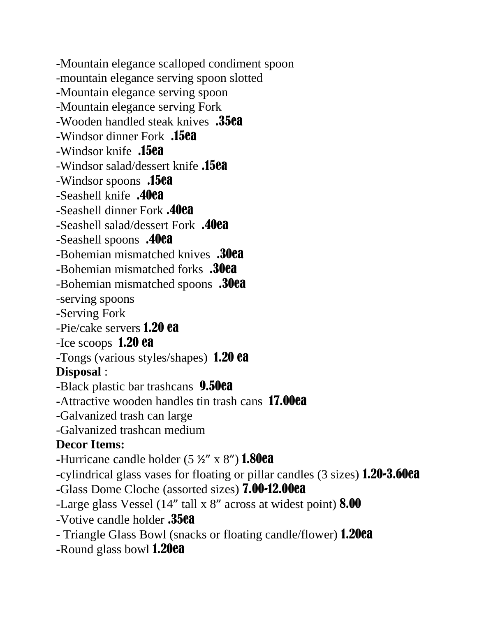-Mountain elegance scalloped condiment spoon -mountain elegance serving spoon slotted -Mountain elegance serving spoon -Mountain elegance serving Fork -Wooden handled steak knives **.35ea** -Windsor dinner Fork **.15ea** -Windsor knife **.15ea** -Windsor salad/dessert knife .15ea -Windsor spoons .15ea -Seashell knife .40ea -Seashell dinner Fork .40ea -Seashell salad/dessert Fork .40ea -Seashell spoons .40ea -Bohemian mismatched knives .30ea **-Bohemian mismatched forks** .30ea -Bohemian mismatched spoons .30ea -serving spoons -Serving Fork -Pie/cake servers 1.20 ea -Ice scoops 1.20 ea -Tongs (various styles/shapes) 1.20 ea **Disposal** : -Black plastic bar trashcans 9.50ea -Attractive wooden handles tin trash cans **17.00ea** -Galvanized trash can large -Galvanized trashcan medium **Decor Items:** -Hurricane candle holder  $(5 \frac{1}{2} \times 8'')$  1.80ea -cylindrical glass vases for floating or pillar candles (3 sizes) 1.20-3.60ea -Glass Dome Cloche (assorted sizes) 7.00-12.00ea -Large glass Vessel (14" tall x 8" across at widest point) 8.00 -Votive candle holder .35ea - Triangle Glass Bowl (snacks or floating candle/flower) **1.20ea** -Round glass bowl **1.20ea**